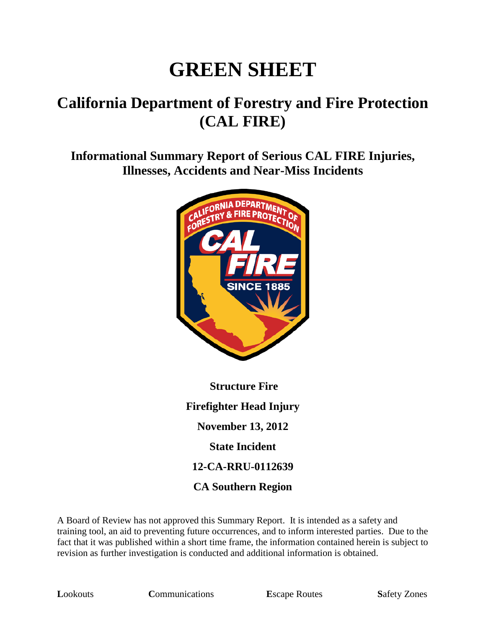# **GREEN SHEET**

# **California Department of Forestry and Fire Protection (CAL FIRE)**

**Informational Summary Report of Serious CAL FIRE Injuries, Illnesses, Accidents and Near-Miss Incidents**



**Structure Fire Firefighter Head Injury November 13, 2012 State Incident 12-CA-RRU-0112639 CA Southern Region**

A Board of Review has not approved this Summary Report. It is intended as a safety and training tool, an aid to preventing future occurrences, and to inform interested parties. Due to the fact that it was published within a short time frame, the information contained herein is subject to revision as further investigation is conducted and additional information is obtained.

**Lookouts Communications E**scape Routes **Safety Zones**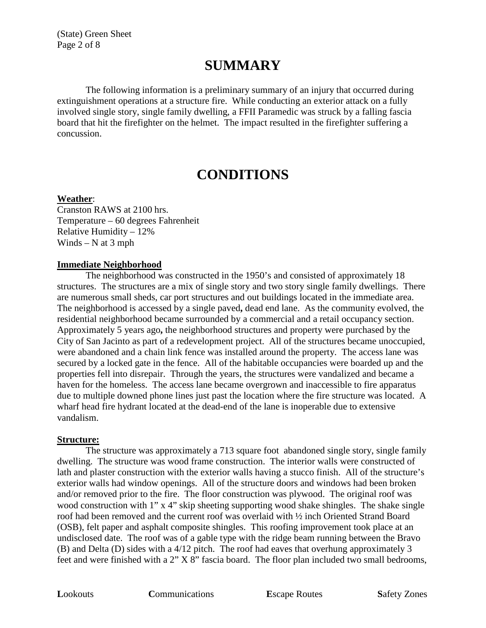(State) Green Sheet Page 2 of 8

# **SUMMARY**

The following information is a preliminary summary of an injury that occurred during extinguishment operations at a structure fire. While conducting an exterior attack on a fully involved single story, single family dwelling, a FFII Paramedic was struck by a falling fascia board that hit the firefighter on the helmet. The impact resulted in the firefighter suffering a concussion.

## **CONDITIONS**

#### **Weather**:

Cranston RAWS at 2100 hrs. Temperature – 60 degrees Fahrenheit Relative Humidity – 12% Winds –  $N$  at 3 mph

#### **Immediate Neighborhood**

The neighborhood was constructed in the 1950's and consisted of approximately 18 structures. The structures are a mix of single story and two story single family dwellings. There are numerous small sheds, car port structures and out buildings located in the immediate area. The neighborhood is accessed by a single paved**,** dead end lane. As the community evolved, the residential neighborhood became surrounded by a commercial and a retail occupancy section. Approximately 5 years ago**,** the neighborhood structures and property were purchased by the City of San Jacinto as part of a redevelopment project. All of the structures became unoccupied, were abandoned and a chain link fence was installed around the property. The access lane was secured by a locked gate in the fence. All of the habitable occupancies were boarded up and the properties fell into disrepair. Through the years, the structures were vandalized and became a haven for the homeless. The access lane became overgrown and inaccessible to fire apparatus due to multiple downed phone lines just past the location where the fire structure was located. A wharf head fire hydrant located at the dead-end of the lane is inoperable due to extensive vandalism.

#### **Structure:**

The structure was approximately a 713 square foot abandoned single story, single family dwelling. The structure was wood frame construction. The interior walls were constructed of lath and plaster construction with the exterior walls having a stucco finish. All of the structure's exterior walls had window openings. All of the structure doors and windows had been broken and/or removed prior to the fire. The floor construction was plywood. The original roof was wood construction with 1" x 4" skip sheeting supporting wood shake shingles. The shake single roof had been removed and the current roof was overlaid with ½ inch Oriented Strand Board (OSB), felt paper and asphalt composite shingles. This roofing improvement took place at an undisclosed date. The roof was of a gable type with the ridge beam running between the Bravo (B) and Delta (D) sides with a 4/12 pitch. The roof had eaves that overhung approximately 3 feet and were finished with a 2" X 8" fascia board. The floor plan included two small bedrooms,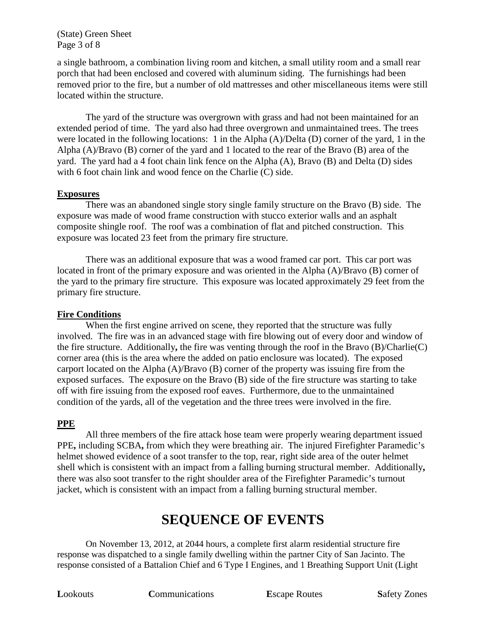(State) Green Sheet Page 3 of 8

a single bathroom, a combination living room and kitchen, a small utility room and a small rear porch that had been enclosed and covered with aluminum siding. The furnishings had been removed prior to the fire, but a number of old mattresses and other miscellaneous items were still located within the structure.

The yard of the structure was overgrown with grass and had not been maintained for an extended period of time. The yard also had three overgrown and unmaintained trees. The trees were located in the following locations: 1 in the Alpha (A)/Delta (D) corner of the yard, 1 in the Alpha (A)/Bravo (B) corner of the yard and 1 located to the rear of the Bravo (B) area of the yard. The yard had a 4 foot chain link fence on the Alpha (A), Bravo (B) and Delta (D) sides with 6 foot chain link and wood fence on the Charlie (C) side.

#### **Exposures**

There was an abandoned single story single family structure on the Bravo (B) side. The exposure was made of wood frame construction with stucco exterior walls and an asphalt composite shingle roof. The roof was a combination of flat and pitched construction. This exposure was located 23 feet from the primary fire structure.

There was an additional exposure that was a wood framed car port. This car port was located in front of the primary exposure and was oriented in the Alpha (A)/Bravo (B) corner of the yard to the primary fire structure. This exposure was located approximately 29 feet from the primary fire structure.

#### **Fire Conditions**

When the first engine arrived on scene, they reported that the structure was fully involved. The fire was in an advanced stage with fire blowing out of every door and window of the fire structure. Additionally**,** the fire was venting through the roof in the Bravo (B)/Charlie(C) corner area (this is the area where the added on patio enclosure was located). The exposed carport located on the Alpha (A)/Bravo (B) corner of the property was issuing fire from the exposed surfaces. The exposure on the Bravo (B) side of the fire structure was starting to take off with fire issuing from the exposed roof eaves. Furthermore, due to the unmaintained condition of the yards, all of the vegetation and the three trees were involved in the fire.

#### **PPE**

All three members of the fire attack hose team were properly wearing department issued PPE**,** including SCBA**,** from which they were breathing air. The injured Firefighter Paramedic's helmet showed evidence of a soot transfer to the top, rear, right side area of the outer helmet shell which is consistent with an impact from a falling burning structural member. Additionally**,** there was also soot transfer to the right shoulder area of the Firefighter Paramedic's turnout jacket, which is consistent with an impact from a falling burning structural member.

# **SEQUENCE OF EVENTS**

On November 13, 2012, at 2044 hours, a complete first alarm residential structure fire response was dispatched to a single family dwelling within the partner City of San Jacinto. The response consisted of a Battalion Chief and 6 Type I Engines, and 1 Breathing Support Unit (Light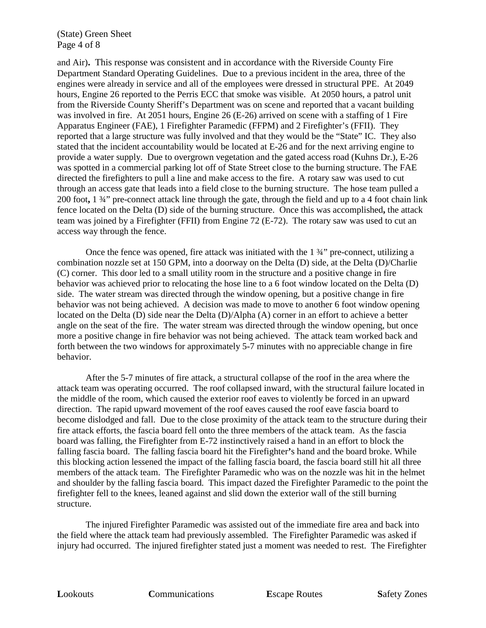(State) Green Sheet Page 4 of 8

and Air)**.** This response was consistent and in accordance with the Riverside County Fire Department Standard Operating Guidelines. Due to a previous incident in the area, three of the engines were already in service and all of the employees were dressed in structural PPE. At 2049 hours, Engine 26 reported to the Perris ECC that smoke was visible. At 2050 hours, a patrol unit from the Riverside County Sheriff's Department was on scene and reported that a vacant building was involved in fire. At 2051 hours, Engine 26 (E-26) arrived on scene with a staffing of 1 Fire Apparatus Engineer (FAE), 1 Firefighter Paramedic (FFPM) and 2 Firefighter's (FFII). They reported that a large structure was fully involved and that they would be the "State" IC. They also stated that the incident accountability would be located at E-26 and for the next arriving engine to provide a water supply. Due to overgrown vegetation and the gated access road (Kuhns Dr.), E-26 was spotted in a commercial parking lot off of State Street close to the burning structure. The FAE directed the firefighters to pull a line and make access to the fire. A rotary saw was used to cut through an access gate that leads into a field close to the burning structure. The hose team pulled a 200 foot**,** 1 ¾" pre-connect attack line through the gate, through the field and up to a 4 foot chain link fence located on the Delta (D) side of the burning structure. Once this was accomplished**,** the attack team was joined by a Firefighter (FFII) from Engine 72 (E-72). The rotary saw was used to cut an access way through the fence.

Once the fence was opened, fire attack was initiated with the 1 ¾" pre-connect, utilizing a combination nozzle set at 150 GPM, into a doorway on the Delta (D) side, at the Delta (D)/Charlie (C) corner. This door led to a small utility room in the structure and a positive change in fire behavior was achieved prior to relocating the hose line to a 6 foot window located on the Delta (D) side. The water stream was directed through the window opening, but a positive change in fire behavior was not being achieved. A decision was made to move to another 6 foot window opening located on the Delta (D) side near the Delta (D)/Alpha (A) corner in an effort to achieve a better angle on the seat of the fire. The water stream was directed through the window opening, but once more a positive change in fire behavior was not being achieved. The attack team worked back and forth between the two windows for approximately 5-7 minutes with no appreciable change in fire behavior.

After the 5-7 minutes of fire attack, a structural collapse of the roof in the area where the attack team was operating occurred. The roof collapsed inward, with the structural failure located in the middle of the room, which caused the exterior roof eaves to violently be forced in an upward direction. The rapid upward movement of the roof eaves caused the roof eave fascia board to become dislodged and fall. Due to the close proximity of the attack team to the structure during their fire attack efforts, the fascia board fell onto the three members of the attack team. As the fascia board was falling, the Firefighter from E-72 instinctively raised a hand in an effort to block the falling fascia board. The falling fascia board hit the Firefighter**'**s hand and the board broke. While this blocking action lessened the impact of the falling fascia board, the fascia board still hit all three members of the attack team. The Firefighter Paramedic who was on the nozzle was hit in the helmet and shoulder by the falling fascia board. This impact dazed the Firefighter Paramedic to the point the firefighter fell to the knees, leaned against and slid down the exterior wall of the still burning structure.

The injured Firefighter Paramedic was assisted out of the immediate fire area and back into the field where the attack team had previously assembled. The Firefighter Paramedic was asked if injury had occurred. The injured firefighter stated just a moment was needed to rest. The Firefighter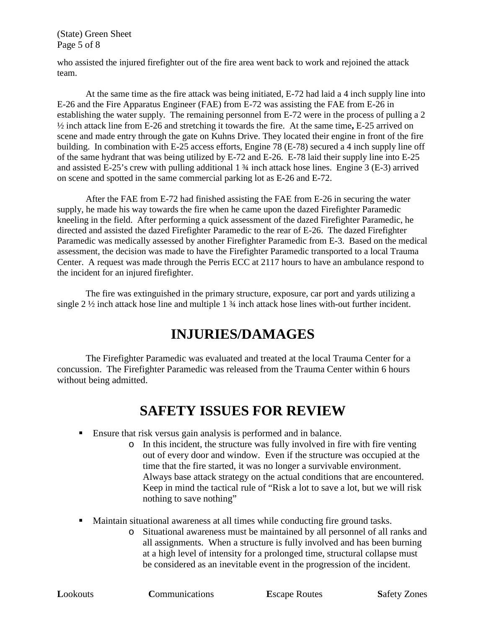(State) Green Sheet Page 5 of 8

who assisted the injured firefighter out of the fire area went back to work and rejoined the attack team.

At the same time as the fire attack was being initiated, E-72 had laid a 4 inch supply line into E-26 and the Fire Apparatus Engineer (FAE) from E-72 was assisting the FAE from E-26 in establishing the water supply. The remaining personnel from E-72 were in the process of pulling a 2 ½ inch attack line from E-26 and stretching it towards the fire. At the same time**,** E-25 arrived on scene and made entry through the gate on Kuhns Drive. They located their engine in front of the fire building. In combination with E-25 access efforts, Engine 78 (E-78) secured a 4 inch supply line off of the same hydrant that was being utilized by E-72 and E-26. E-78 laid their supply line into E-25 and assisted E-25's crew with pulling additional 1 ¾ inch attack hose lines. Engine 3 (E-3) arrived on scene and spotted in the same commercial parking lot as E-26 and E-72.

After the FAE from E-72 had finished assisting the FAE from E-26 in securing the water supply, he made his way towards the fire when he came upon the dazed Firefighter Paramedic kneeling in the field. After performing a quick assessment of the dazed Firefighter Paramedic, he directed and assisted the dazed Firefighter Paramedic to the rear of E-26. The dazed Firefighter Paramedic was medically assessed by another Firefighter Paramedic from E-3. Based on the medical assessment, the decision was made to have the Firefighter Paramedic transported to a local Trauma Center. A request was made through the Perris ECC at 2117 hours to have an ambulance respond to the incident for an injured firefighter.

The fire was extinguished in the primary structure, exposure, car port and yards utilizing a single 2 ½ inch attack hose line and multiple 1 ¾ inch attack hose lines with-out further incident.

# **INJURIES/DAMAGES**

The Firefighter Paramedic was evaluated and treated at the local Trauma Center for a concussion. The Firefighter Paramedic was released from the Trauma Center within 6 hours without being admitted.

# **SAFETY ISSUES FOR REVIEW**

- Ensure that risk versus gain analysis is performed and in balance.
	- o In this incident, the structure was fully involved in fire with fire venting out of every door and window. Even if the structure was occupied at the time that the fire started, it was no longer a survivable environment. Always base attack strategy on the actual conditions that are encountered. Keep in mind the tactical rule of "Risk a lot to save a lot, but we will risk nothing to save nothing"
- Maintain situational awareness at all times while conducting fire ground tasks.
	- o Situational awareness must be maintained by all personnel of all ranks and all assignments. When a structure is fully involved and has been burning at a high level of intensity for a prolonged time, structural collapse must be considered as an inevitable event in the progression of the incident.

**Lookouts Communications E**scape Routes **Safety Zones**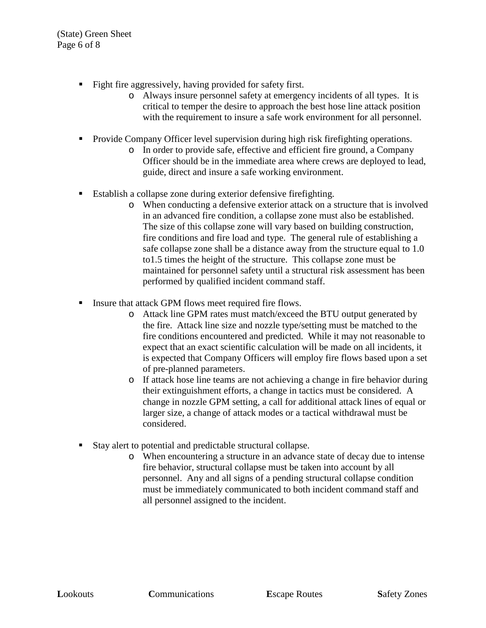- Fight fire aggressively, having provided for safety first.
	- o Always insure personnel safety at emergency incidents of all types. It is critical to temper the desire to approach the best hose line attack position with the requirement to insure a safe work environment for all personnel.
- **Provide Company Officer level supervision during high risk firefighting operations.** 
	- o In order to provide safe, effective and efficient fire ground, a Company Officer should be in the immediate area where crews are deployed to lead, guide, direct and insure a safe working environment.
- Establish a collapse zone during exterior defensive firefighting.
	- o When conducting a defensive exterior attack on a structure that is involved in an advanced fire condition, a collapse zone must also be established. The size of this collapse zone will vary based on building construction, fire conditions and fire load and type. The general rule of establishing a safe collapse zone shall be a distance away from the structure equal to 1.0 to1.5 times the height of the structure. This collapse zone must be maintained for personnel safety until a structural risk assessment has been performed by qualified incident command staff.
- **Insure that attack GPM flows meet required fire flows.** 
	- o Attack line GPM rates must match/exceed the BTU output generated by the fire. Attack line size and nozzle type/setting must be matched to the fire conditions encountered and predicted. While it may not reasonable to expect that an exact scientific calculation will be made on all incidents, it is expected that Company Officers will employ fire flows based upon a set of pre-planned parameters.
	- o If attack hose line teams are not achieving a change in fire behavior during their extinguishment efforts, a change in tactics must be considered. A change in nozzle GPM setting, a call for additional attack lines of equal or larger size, a change of attack modes or a tactical withdrawal must be considered.
- Stay alert to potential and predictable structural collapse.
	- o When encountering a structure in an advance state of decay due to intense fire behavior, structural collapse must be taken into account by all personnel. Any and all signs of a pending structural collapse condition must be immediately communicated to both incident command staff and all personnel assigned to the incident.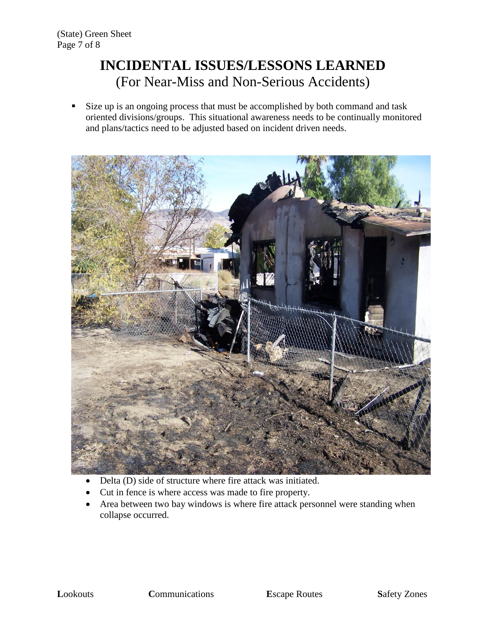# **INCIDENTAL ISSUES/LESSONS LEARNED** (For Near-Miss and Non-Serious Accidents)

 Size up is an ongoing process that must be accomplished by both command and task oriented divisions/groups. This situational awareness needs to be continually monitored and plans/tactics need to be adjusted based on incident driven needs.



- Delta (D) side of structure where fire attack was initiated.
- Cut in fence is where access was made to fire property.
- Area between two bay windows is where fire attack personnel were standing when collapse occurred.